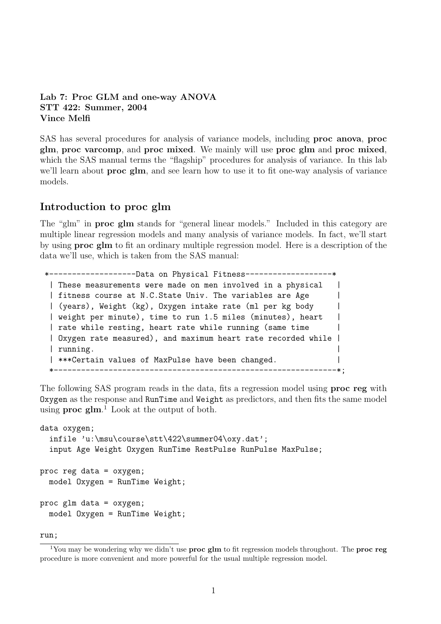```
Lab 7: Proc GLM and one-way ANOVA
STT 422: Summer, 2004
Vince Melfi
```
SAS has several procedures for analysis of variance models, including proc anova, proc glm, proc varcomp, and proc mixed. We mainly will use proc glm and proc mixed, which the SAS manual terms the "flagship" procedures for analysis of variance. In this lab we'll learn about **proc** glm, and see learn how to use it to fit one-way analysis of variance models.

# Introduction to proc glm

The "glm" in proc glm stands for "general linear models." Included in this category are multiple linear regression models and many analysis of variance models. In fact, we'll start by using proc glm to fit an ordinary multiple regression model. Here is a description of the data we'll use, which is taken from the SAS manual:

```
*-------------------Data on Physical Fitness-------------------*
 | These measurements were made on men involved in a physical |
 | fitness course at N.C.State Univ. The variables are Age |
 | (years), Weight (kg), Oxygen intake rate (ml per kg body |
 | weight per minute), time to run 1.5 miles (minutes), heart |
 | rate while resting, heart rate while running (same time
 | Oxygen rate measured), and maximum heart rate recorded while |
 \vert running. \vert| ***Certain values of MaxPulse have been changed.
 *--------------------------------------------------------------*;
```
The following SAS program reads in the data, fits a regression model using **proc reg** with Oxygen as the response and RunTime and Weight as predictors, and then fits the same model using  $\bf{proc}$   $\bf{g}$ lm.<sup>1</sup> Look at the output of both.

```
data oxygen;
  infile 'u:\msu\course\stt\422\summer04\oxy.dat';
  input Age Weight Oxygen RunTime RestPulse RunPulse MaxPulse;
proc reg data = oxygen;
 model Oxygen = RunTime Weight;
proc glm data = oxygen;
 model Oxygen = RunTime Weight;
```
run;

<sup>&</sup>lt;sup>1</sup>You may be wondering why we didn't use **proc glm** to fit regression models throughout. The **proc reg** procedure is more convenient and more powerful for the usual multiple regression model.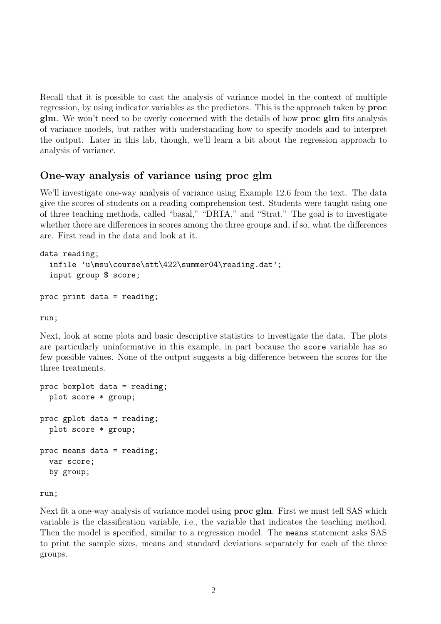Recall that it is possible to cast the analysis of variance model in the context of multiple regression, by using indicator variables as the predictors. This is the approach taken by proc glm. We won't need to be overly concerned with the details of how proc glm fits analysis of variance models, but rather with understanding how to specify models and to interpret the output. Later in this lab, though, we'll learn a bit about the regression approach to analysis of variance.

## One-way analysis of variance using proc glm

We'll investigate one-way analysis of variance using Example 12.6 from the text. The data give the scores of students on a reading comprehension test. Students were taught using one of three teaching methods, called "basal," "DRTA," and "Strat." The goal is to investigate whether there are differences in scores among the three groups and, if so, what the differences are. First read in the data and look at it.

```
data reading;
  infile 'u\msu\course\stt\422\summer04\reading.dat';
  input group $ score;
```

```
proc print data = reading;
```
run;

Next, look at some plots and basic descriptive statistics to investigate the data. The plots are particularly uninformative in this example, in part because the score variable has so few possible values. None of the output suggests a big difference between the scores for the three treatments.

```
proc boxplot data = reading;
  plot score * group;
proc gplot data = reading;
  plot score * group;
proc means data = reading;
  var score;
  by group;
```
run;

Next fit a one-way analysis of variance model using proc glm. First we must tell SAS which variable is the classification variable, i.e., the variable that indicates the teaching method. Then the model is specified, similar to a regression model. The means statement asks SAS to print the sample sizes, means and standard deviations separately for each of the three groups.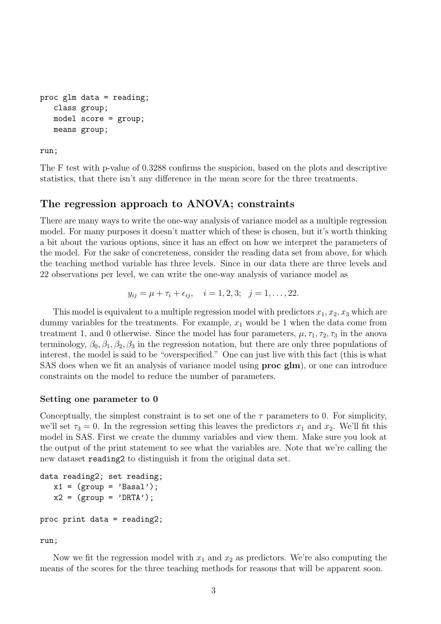```
proc glm data = reading;
   class group;
   model score = group;
   means group;
```
run;

The F test with p-value of 0.3288 confirms the suspicion, based on the plots and descriptive statistics, that there isn't any difference in the mean score for the three treatments.

## The regression approach to ANOVA; constraints

There are many ways to write the one-way analysis of variance model as a multiple regression model. For many purposes it doesn't matter which of these is chosen, but it's worth thinking a bit about the various options, since it has an effect on how we interpret the parameters of the model. For the sake of concreteness, consider the reading data set from above, for which the teaching method variable has three levels. Since in our data there are three levels and 22 observations per level, we can write the one-way analysis of variance model as

$$
y_{ij} = \mu + \tau_i + \epsilon_{ij}, \quad i = 1, 2, 3; \quad j = 1, \ldots, 22.
$$

This model is equivalent to a multiple regression model with predictors  $x_1, x_2, x_3$  which are dummy variables for the treatments. For example,  $x_1$  would be 1 when the data come from treatment 1, and 0 otherwise. Since the model has four parameters,  $\mu$ ,  $\tau_1$ ,  $\tau_2$ ,  $\tau_3$  in the anova terminology,  $\beta_0$ ,  $\beta_1$ ,  $\beta_2$ ,  $\beta_3$  in the regression notation, but there are only three populations of interest, the model is said to be "overspecified." One can just live with this fact (this is what SAS does when we fit an analysis of variance model using proc glm), or one can introduce constraints on the model to reduce the number of parameters.

#### Setting one parameter to 0

Conceptually, the simplest constraint is to set one of the  $\tau$  parameters to 0. For simplicity, we'll set  $\tau_3 = 0$ . In the regression setting this leaves the predictors  $x_1$  and  $x_2$ . We'll fit this model in SAS. First we create the dummy variables and view them. Make sure you look at the output of the print statement to see what the variables are. Note that we're calling the new dataset reading2 to distinguish it from the original data set.

```
data reading2; set reading;
  x1 = (group = 'Basal');x2 = (group = 'DRTA');
proc print data = reading2;
```
run;

Now we fit the regression model with  $x_1$  and  $x_2$  as predictors. We're also computing the means of the scores for the three teaching methods for reasons that will be apparent soon.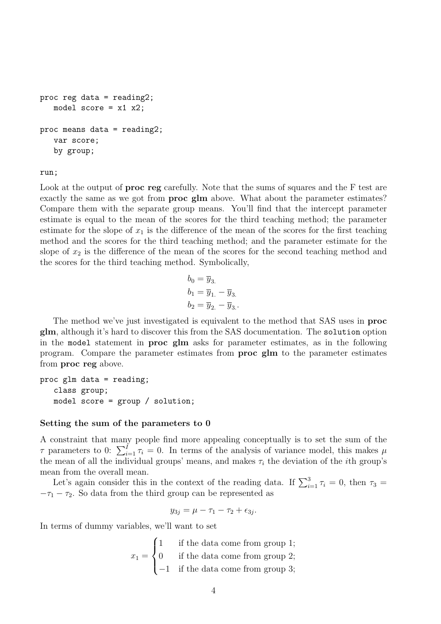```
proc reg data = reading2;
   model score = x1 x2;
proc means data = reading2;
   var score;
   by group;
```
run;

Look at the output of **proc** reg carefully. Note that the sums of squares and the F test are exactly the same as we got from **proc** glm above. What about the parameter estimates? Compare them with the separate group means. You'll find that the intercept parameter estimate is equal to the mean of the scores for the third teaching method; the parameter estimate for the slope of  $x_1$  is the difference of the mean of the scores for the first teaching method and the scores for the third teaching method; and the parameter estimate for the slope of  $x_2$  is the difference of the mean of the scores for the second teaching method and the scores for the third teaching method. Symbolically,

$$
b_0 = \overline{y}_3.
$$
  
\n
$$
b_1 = \overline{y}_1 - \overline{y}_3.
$$
  
\n
$$
b_2 = \overline{y}_2 - \overline{y}_3.
$$

The method we've just investigated is equivalent to the method that SAS uses in proc glm, although it's hard to discover this from the SAS documentation. The solution option in the model statement in proc glm asks for parameter estimates, as in the following program. Compare the parameter estimates from proc glm to the parameter estimates from proc reg above.

```
proc glm data = reading;
   class group;
   model score = group / solution;
```
### Setting the sum of the parameters to 0

A constraint that many people find more appealing conceptually is to set the sum of the  $\tau$  parameters to 0:  $\sum_{i=1}^{I} \tau_i = 0$ . In terms of the analysis of variance model, this makes  $\mu$ the mean of all the individual groups' means, and makes  $\tau_i$  the deviation of the *i*th group's mean from the overall mean.

Let's again consider this in the context of the reading data. If  $\sum_{i=1}^{3} \tau_i = 0$ , then  $\tau_3 =$  $-\tau_1 - \tau_2$ . So data from the third group can be represented as

$$
y_{3j} = \mu - \tau_1 - \tau_2 + \epsilon_{3j}.
$$

In terms of dummy variables, we'll want to set

 $x_1 =$  $\sqrt{ }$  $\int$  $\mathcal{L}$ 1 if the data come from group 1; 0 if the data come from group 2; −1 if the data come from group 3;